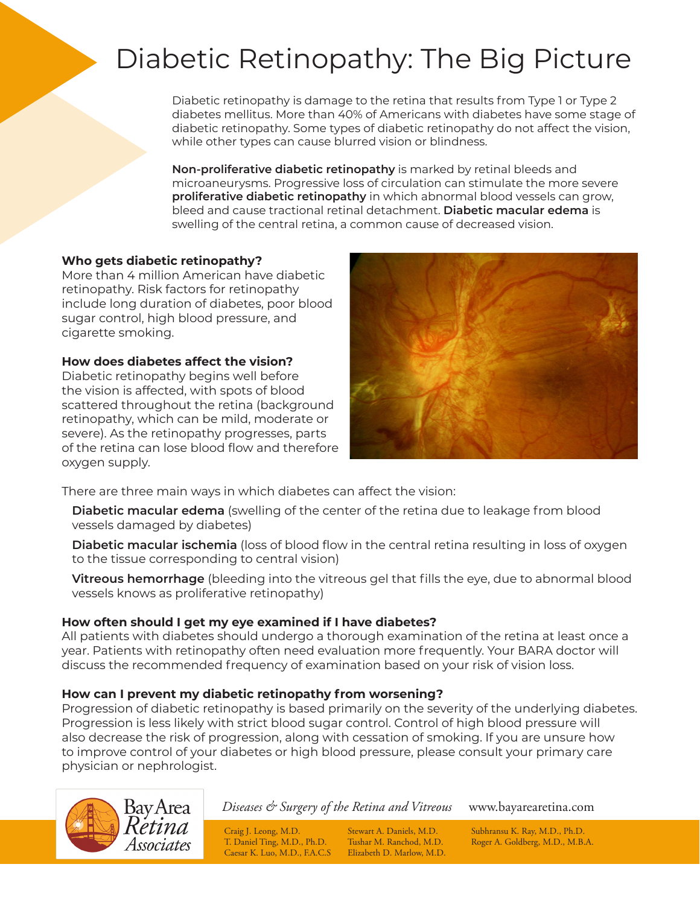# Diabetic Retinopathy: The Big Picture

Diabetic retinopathy is damage to the retina that results from Type 1 or Type 2 diabetes mellitus. More than 40% of Americans with diabetes have some stage of diabetic retinopathy. Some types of diabetic retinopathy do not affect the vision, while other types can cause blurred vision or blindness.

**Non-proliferative diabetic retinopathy** is marked by retinal bleeds and microaneurysms. Progressive loss of circulation can stimulate the more severe **proliferative diabetic retinopathy** in which abnormal blood vessels can grow, bleed and cause tractional retinal detachment. **Diabetic macular edema** is swelling of the central retina, a common cause of decreased vision.

#### **Who gets diabetic retinopathy?**

More than 4 million American have diabetic retinopathy. Risk factors for retinopathy include long duration of diabetes, poor blood sugar control, high blood pressure, and cigarette smoking.

**How does diabetes affect the vision?**

Diabetic retinopathy begins well before the vision is affected, with spots of blood scattered throughout the retina (background retinopathy, which can be mild, moderate or severe). As the retinopathy progresses, parts of the retina can lose blood flow and therefore oxygen supply.



There are three main ways in which diabetes can affect the vision:

**Diabetic macular edema** (swelling of the center of the retina due to leakage from blood vessels damaged by diabetes)

**Diabetic macular ischemia** (loss of blood flow in the central retina resulting in loss of oxygen to the tissue corresponding to central vision)

**Vitreous hemorrhage** (bleeding into the vitreous gel that fills the eye, due to abnormal blood vessels knows as proliferative retinopathy)

#### **How often should I get my eye examined if I have diabetes?**

All patients with diabetes should undergo a thorough examination of the retina at least once a year. Patients with retinopathy often need evaluation more frequently. Your BARA doctor will discuss the recommended frequency of examination based on your risk of vision loss.

#### **How can I prevent my diabetic retinopathy from worsening?**

Progression of diabetic retinopathy is based primarily on the severity of the underlying diabetes. Progression is less likely with strict blood sugar control. Control of high blood pressure will also decrease the risk of progression, along with cessation of smoking. If you are unsure how to improve control of your diabetes or high blood pressure, please consult your primary care physician or nephrologist.



*Diseases & Surgery of the Retina and Vitreous* www.bayarearetina.com

Caesar K. Luo, M.D., F.A.C.S Elizabeth D. Marlow, M.D.

Craig J. Leong, M.D. Stewart A. Daniels, M.D. Subhransu K. Ray, M.D., Ph.D. T. Daniel Ting, M.D., Ph.D. Tushar M. Ranchod, M.D. Roger A. Goldberg, M.D., M.B. Roger A. Goldberg, M.D., M.B.A.